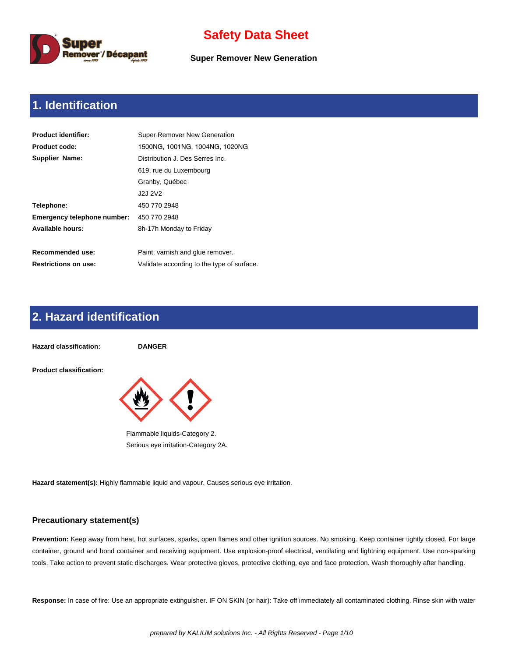

**Super Remover New Generation**

# **1. Identification**

| <b>Product identifier:</b>         | <b>Super Remover New Generation</b>        |
|------------------------------------|--------------------------------------------|
| <b>Product code:</b>               | 1500NG, 1001NG, 1004NG, 1020NG             |
| Supplier Name:                     | Distribution J. Des Serres Inc.            |
|                                    | 619, rue du Luxembourg                     |
|                                    | Granby, Québec                             |
|                                    | J2J 2V2                                    |
| Telephone:                         | 450 770 2948                               |
| <b>Emergency telephone number:</b> | 450 770 2948                               |
| Available hours:                   | 8h-17h Monday to Friday                    |
|                                    |                                            |
| Recommended use:                   | Paint, varnish and glue remover.           |
| <b>Restrictions on use:</b>        | Validate according to the type of surface. |

# **2. Hazard identification**



**Hazard statement(s):** Highly flammable liquid and vapour. Causes serious eye irritation.

#### **Precautionary statement(s)**

**Prevention:** Keep away from heat, hot surfaces, sparks, open flames and other ignition sources. No smoking. Keep container tightly closed. For large container, ground and bond container and receiving equipment. Use explosion-proof electrical, ventilating and lightning equipment. Use non-sparking tools. Take action to prevent static discharges. Wear protective gloves, protective clothing, eye and face protection. Wash thoroughly after handling.

**Response:** In case of fire: Use an appropriate extinguisher. IF ON SKIN (or hair): Take off immediately all contaminated clothing. Rinse skin with water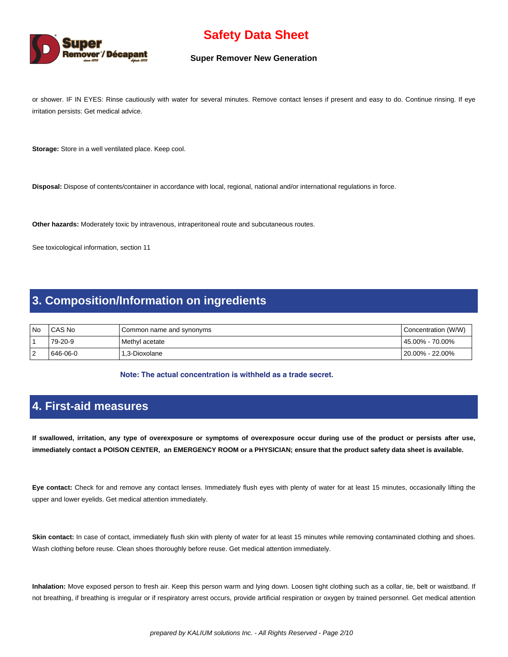

#### **Super Remover New Generation**

or shower. IF IN EYES: Rinse cautiously with water for several minutes. Remove contact lenses if present and easy to do. Continue rinsing. If eye irritation persists: Get medical advice.

**Storage:** Store in a well ventilated place. Keep cool.

**Disposal:** Dispose of contents/container in accordance with local, regional, national and/or international regulations in force.

**Other hazards:** Moderately toxic by intravenous, intraperitoneal route and subcutaneous routes.

See toxicological information, section 11

### **3. Composition/Information on ingredients**

| l No     | CAS No   | Common name and synonyms | Concentration (W/W) |
|----------|----------|--------------------------|---------------------|
|          | 79-20-9  | Methyl acetate           | l 45.00% - 70.00%   |
| - 2<br>∼ | 646-06-0 | 1.3-Dioxolane            | l 20.00% - 22.00%   |

**Note: The actual concentration is withheld as a trade secret.** 

#### **4. First-aid measures**

**If swallowed, irritation, any type of overexposure or symptoms of overexposure occur during use of the product or persists after use, immediately contact a POISON CENTER, an EMERGENCY ROOM or a PHYSICIAN; ensure that the product safety data sheet is available.**

**Eye contact:** Check for and remove any contact lenses. Immediately flush eyes with plenty of water for at least 15 minutes, occasionally lifting the upper and lower eyelids. Get medical attention immediately.

Skin contact: In case of contact, immediately flush skin with plenty of water for at least 15 minutes while removing contaminated clothing and shoes. Wash clothing before reuse. Clean shoes thoroughly before reuse. Get medical attention immediately.

**Inhalation:** Move exposed person to fresh air. Keep this person warm and lying down. Loosen tight clothing such as a collar, tie, belt or waistband. If not breathing, if breathing is irregular or if respiratory arrest occurs, provide artificial respiration or oxygen by trained personnel. Get medical attention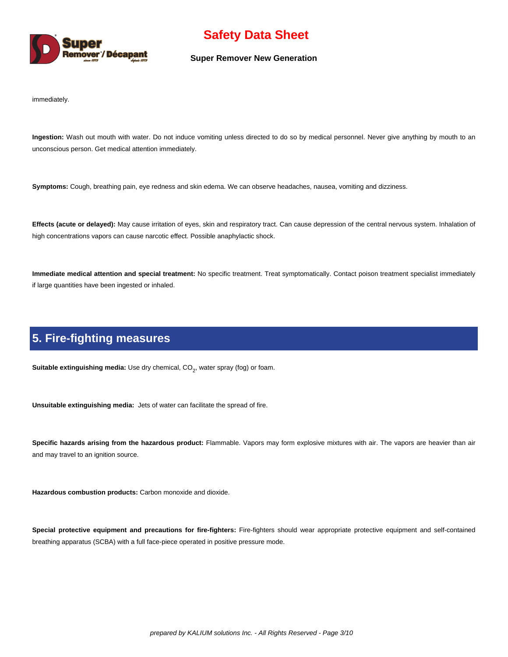

#### **Super Remover New Generation**

immediately.

**Ingestion:** Wash out mouth with water. Do not induce vomiting unless directed to do so by medical personnel. Never give anything by mouth to an unconscious person. Get medical attention immediately.

**Symptoms:** Cough, breathing pain, eye redness and skin edema. We can observe headaches, nausea, vomiting and dizziness.

**Effects (acute or delayed):** May cause irritation of eyes, skin and respiratory tract. Can cause depression of the central nervous system. Inhalation of high concentrations vapors can cause narcotic effect. Possible anaphylactic shock.

**Immediate medical attention and special treatment:** No specific treatment. Treat symptomatically. Contact poison treatment specialist immediately if large quantities have been ingested or inhaled.

### **5. Fire-fighting measures**

**Suitable extinguishing media:** Use dry chemical, CO<sub>2</sub>, water spray (fog) or foam.

**Unsuitable extinguishing media:** Jets of water can facilitate the spread of fire.

**Specific hazards arising from the hazardous product:** Flammable. Vapors may form explosive mixtures with air. The vapors are heavier than air and may travel to an ignition source.

**Hazardous combustion products:** Carbon monoxide and dioxide.

**Special protective equipment and precautions for fire-fighters:** Fire-fighters should wear appropriate protective equipment and self-contained breathing apparatus (SCBA) with a full face-piece operated in positive pressure mode.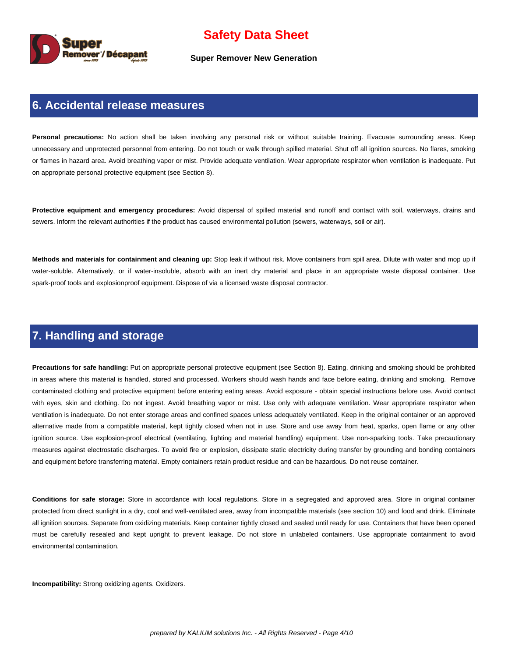

**Super Remover New Generation**

#### **6. Accidental release measures**

Personal precautions: No action shall be taken involving any personal risk or without suitable training. Evacuate surrounding areas. Keep unnecessary and unprotected personnel from entering. Do not touch or walk through spilled material. Shut off all ignition sources. No flares, smoking or flames in hazard area. Avoid breathing vapor or mist. Provide adequate ventilation. Wear appropriate respirator when ventilation is inadequate. Put on appropriate personal protective equipment (see Section 8).

**Protective equipment and emergency procedures:** Avoid dispersal of spilled material and runoff and contact with soil, waterways, drains and sewers. Inform the relevant authorities if the product has caused environmental pollution (sewers, waterways, soil or air).

**Methods and materials for containment and cleaning up:** Stop leak if without risk. Move containers from spill area. Dilute with water and mop up if water-soluble. Alternatively, or if water-insoluble, absorb with an inert dry material and place in an appropriate waste disposal container. Use spark-proof tools and explosionproof equipment. Dispose of via a licensed waste disposal contractor.

### **7. Handling and storage**

**Precautions for safe handling:** Put on appropriate personal protective equipment (see Section 8). Eating, drinking and smoking should be prohibited in areas where this material is handled, stored and processed. Workers should wash hands and face before eating, drinking and smoking. Remove contaminated clothing and protective equipment before entering eating areas. Avoid exposure - obtain special instructions before use. Avoid contact with eyes, skin and clothing. Do not ingest. Avoid breathing vapor or mist. Use only with adequate ventilation. Wear appropriate respirator when ventilation is inadequate. Do not enter storage areas and confined spaces unless adequately ventilated. Keep in the original container or an approved alternative made from a compatible material, kept tightly closed when not in use. Store and use away from heat, sparks, open flame or any other ignition source. Use explosion-proof electrical (ventilating, lighting and material handling) equipment. Use non-sparking tools. Take precautionary measures against electrostatic discharges. To avoid fire or explosion, dissipate static electricity during transfer by grounding and bonding containers and equipment before transferring material. Empty containers retain product residue and can be hazardous. Do not reuse container.

**Conditions for safe storage:** Store in accordance with local regulations. Store in a segregated and approved area. Store in original container protected from direct sunlight in a dry, cool and well-ventilated area, away from incompatible materials (see section 10) and food and drink. Eliminate all ignition sources. Separate from oxidizing materials. Keep container tightly closed and sealed until ready for use. Containers that have been opened must be carefully resealed and kept upright to prevent leakage. Do not store in unlabeled containers. Use appropriate containment to avoid environmental contamination.

**Incompatibility:** Strong oxidizing agents. Oxidizers.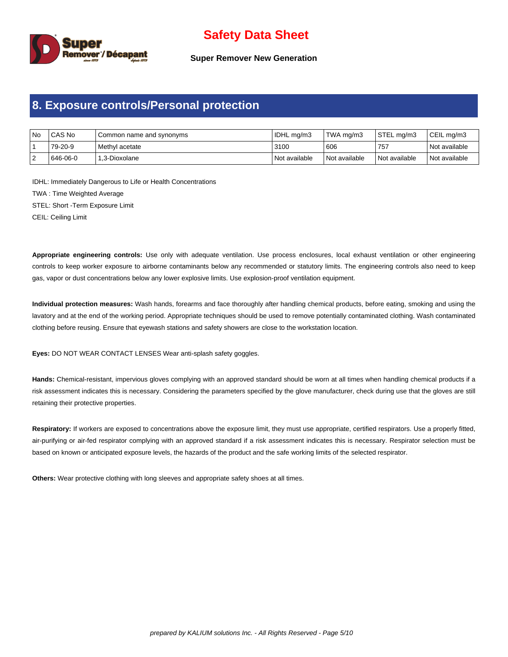

**Super Remover New Generation**

### **8. Exposure controls/Personal protection**

| No | l CAS No | I Common name and synonyms | IDHL mg/m3    | TWA ma/m3       | STEL ma/m3    | CEIL ma/m3      |
|----|----------|----------------------------|---------------|-----------------|---------------|-----------------|
|    | 79-20-9  | l Methvl acetate           | 3100          | 606             | 757           | l Not available |
| ▵  | 646-06-0 | l 1.3-Dioxolane            | Not available | l Not available | Not available | l Not available |

IDHL: Immediately Dangerous to Life or Health Concentrations TWA : Time Weighted Average STEL: Short -Term Exposure Limit

CEIL: Ceiling Limit

**Appropriate engineering controls:** Use only with adequate ventilation. Use process enclosures, local exhaust ventilation or other engineering controls to keep worker exposure to airborne contaminants below any recommended or statutory limits. The engineering controls also need to keep gas, vapor or dust concentrations below any lower explosive limits. Use explosion-proof ventilation equipment.

**Individual protection measures:** Wash hands, forearms and face thoroughly after handling chemical products, before eating, smoking and using the lavatory and at the end of the working period. Appropriate techniques should be used to remove potentially contaminated clothing. Wash contaminated clothing before reusing. Ensure that eyewash stations and safety showers are close to the workstation location.

**Eyes:** DO NOT WEAR CONTACT LENSES Wear anti-splash safety goggles.

**Hands:** Chemical-resistant, impervious gloves complying with an approved standard should be worn at all times when handling chemical products if a risk assessment indicates this is necessary. Considering the parameters specified by the glove manufacturer, check during use that the gloves are still retaining their protective properties.

Respiratory: If workers are exposed to concentrations above the exposure limit, they must use appropriate, certified respirators. Use a properly fitted, air-purifying or air-fed respirator complying with an approved standard if a risk assessment indicates this is necessary. Respirator selection must be based on known or anticipated exposure levels, the hazards of the product and the safe working limits of the selected respirator.

**Others:** Wear protective clothing with long sleeves and appropriate safety shoes at all times.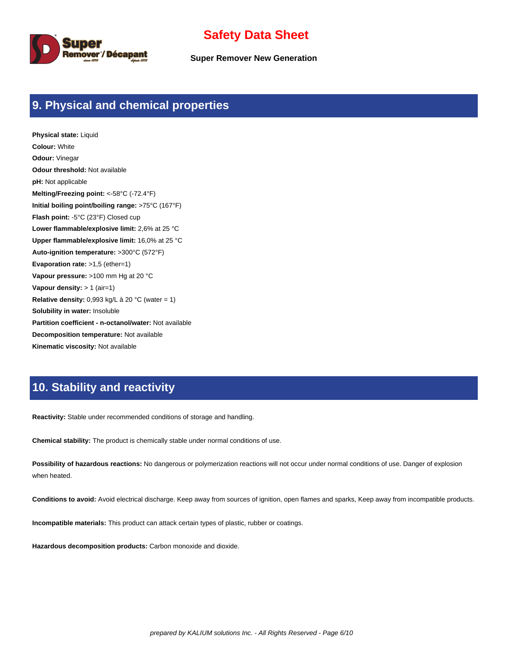

**Super Remover New Generation**

## **9. Physical and chemical properties**

**Physical state:** Liquid **Colour:** White **Odour:** Vinegar **Odour threshold:** Not available **pH:** Not applicable **Melting/Freezing point:** <-58°C (-72.4°F) **Initial boiling point/boiling range:** >75°C (167°F) **Flash point:** -5°C (23°F) Closed cup **Lower flammable/explosive limit:** 2,6% at 25 °C **Upper flammable/explosive limit:** 16,0% at 25 °C **Auto-ignition temperature:** >300°C (572°F) **Evaporation rate:** >1,5 (ether=1) **Vapour pressure:** >100 mm Hg at 20 °C **Vapour density:** > 1 (air=1) **Relative density:** 0,993 kg/L à 20 °C (water = 1) **Solubility in water:** Insoluble **Partition coefficient - n-octanol/water:** Not available **Decomposition temperature:** Not available **Kinematic viscosity:** Not available

### **10. Stability and reactivity**

**Reactivity:** Stable under recommended conditions of storage and handling.

**Chemical stability:** The product is chemically stable under normal conditions of use.

**Possibility of hazardous reactions:** No dangerous or polymerization reactions will not occur under normal conditions of use. Danger of explosion when heated.

**Conditions to avoid:** Avoid electrical discharge. Keep away from sources of ignition, open flames and sparks, Keep away from incompatible products.

**Incompatible materials:** This product can attack certain types of plastic, rubber or coatings.

**Hazardous decomposition products:** Carbon monoxide and dioxide.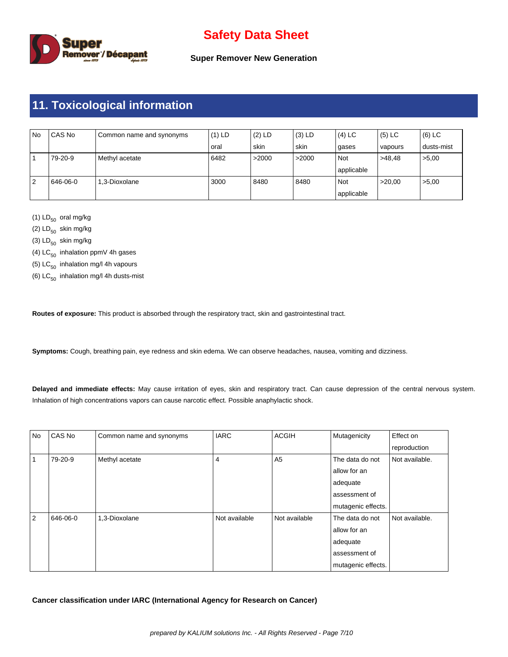

**Super Remover New Generation**

# **11. Toxicological information**

| No | CAS No   | Common name and synonyms | $(1)$ LD | $(2)$ LD | $(3)$ LD | $(4)$ LC   | $(5)$ LC | (6) LC     |
|----|----------|--------------------------|----------|----------|----------|------------|----------|------------|
|    |          |                          | oral     | skin     | skin     | gases      | vapours  | dusts-mist |
|    | 79-20-9  | Methyl acetate           | 6482     | >2000    | >2000    | Not        | >48.48   | >5,00      |
|    |          |                          |          |          |          | applicable |          |            |
| 2  | 646-06-0 | 1.3-Dioxolane            | 3000     | 8480     | 8480     | Not        | >20.00   | >5,00      |
|    |          |                          |          |          |          | applicable |          |            |

(1)  $LD_{50}$  oral mg/kg

(2)  $LD_{50}$  skin mg/kg

(3)  $LD_{50}$  skin mg/kg

(4)  $LC_{50}$  inhalation ppmV 4h gases

(5)  $LC_{50}$  inhalation mg/l 4h vapours

(6)  $LC_{50}$  inhalation mg/l 4h dusts-mist

**Routes of exposure:** This product is absorbed through the respiratory tract, skin and gastrointestinal tract.

**Symptoms:** Cough, breathing pain, eye redness and skin edema. We can observe headaches, nausea, vomiting and dizziness.

**Delayed and immediate effects:** May cause irritation of eyes, skin and respiratory tract. Can cause depression of the central nervous system. Inhalation of high concentrations vapors can cause narcotic effect. Possible anaphylactic shock.

| No | CAS No   | Common name and synonyms | <b>IARC</b>   | <b>ACGIH</b>   | Mutagenicity       | Effect on      |
|----|----------|--------------------------|---------------|----------------|--------------------|----------------|
|    |          |                          |               |                |                    | reproduction   |
|    | 79-20-9  | Methyl acetate           | 4             | A <sub>5</sub> | The data do not    | Not available. |
|    |          |                          |               |                | allow for an       |                |
|    |          |                          |               |                | adequate           |                |
|    |          |                          |               |                | assessment of      |                |
|    |          |                          |               |                | mutagenic effects. |                |
| 2  | 646-06-0 | 1,3-Dioxolane            | Not available | Not available  | The data do not    | Not available. |
|    |          |                          |               |                | allow for an       |                |
|    |          |                          |               |                | adequate           |                |
|    |          |                          |               |                | assessment of      |                |
|    |          |                          |               |                | mutagenic effects. |                |

**Cancer classification under IARC (International Agency for Research on Cancer)**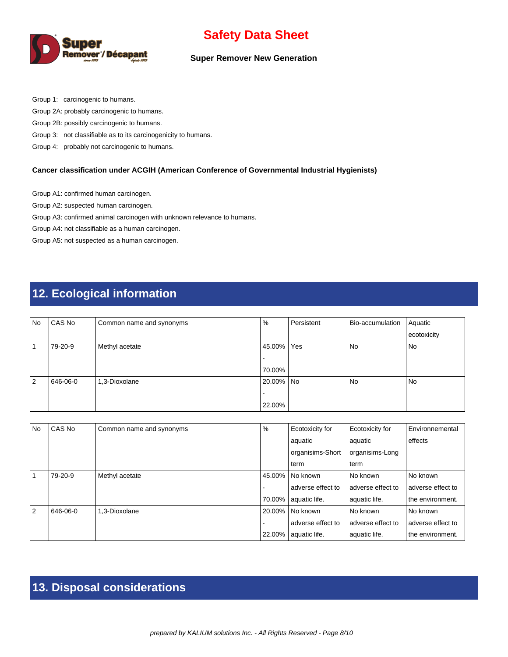

#### **Super Remover New Generation**

Group 1: carcinogenic to humans.

Group 2A: probably carcinogenic to humans.

Group 2B: possibly carcinogenic to humans.

Group 3: not classifiable as to its carcinogenicity to humans.

Group 4: probably not carcinogenic to humans.

#### **Cancer classification under ACGIH (American Conference of Governmental Industrial Hygienists)**

Group A1: confirmed human carcinogen.

Group A2: suspected human carcinogen.

Group A3: confirmed animal carcinogen with unknown relevance to humans.

Group A4: not classifiable as a human carcinogen.

Group A5: not suspected as a human carcinogen.

# **12. Ecological information**

| <b>No</b>      | CAS No   | Common name and synonyms | $\%$      | Persistent | Bio-accumulation | Aquatic     |
|----------------|----------|--------------------------|-----------|------------|------------------|-------------|
|                |          |                          |           |            |                  | ecotoxicity |
|                | 79-20-9  | Methyl acetate           | 45.00%    | Yes        | No               | No          |
|                |          |                          |           |            |                  |             |
|                |          |                          | 70.00%    |            |                  |             |
| $\overline{2}$ | 646-06-0 | 1,3-Dioxolane            | 20.00% No |            | No               | No          |
|                |          |                          |           |            |                  |             |
|                |          |                          | 22.00%    |            |                  |             |

| <b>No</b>      | CAS No   | Common name and synonyms | $\%$   | Ecotoxicity for   | Ecotoxicity for   | Environnemental   |
|----------------|----------|--------------------------|--------|-------------------|-------------------|-------------------|
|                |          |                          |        | aquatic           | aquatic           | effects           |
|                |          |                          |        | organisims-Short  | organisims-Long   |                   |
|                |          |                          |        | term              | term              |                   |
|                | 79-20-9  | Methyl acetate           | 45.00% | l No known        | l No known        | No known          |
|                |          |                          |        | adverse effect to | adverse effect to | adverse effect to |
|                |          |                          | 70.00% | aquatic life.     | aquatic life.     | the environment.  |
| $\overline{2}$ | 646-06-0 | 1.3-Dioxolane            | 20.00% | l No known        | l No known        | No known          |
|                |          |                          |        | adverse effect to | adverse effect to | adverse effect to |
|                |          |                          | 22.00% | aquatic life.     | aquatic life.     | the environment.  |

# **13. Disposal considerations**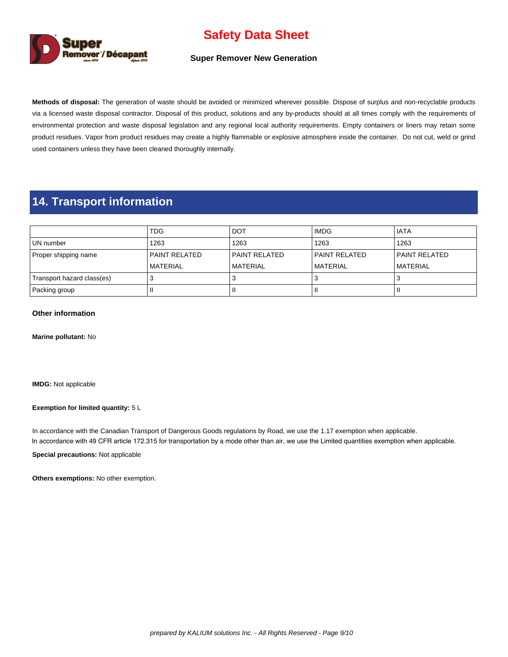

#### **Super Remover New Generation**

**Methods of disposal:** The generation of waste should be avoided or minimized wherever possible. Dispose of surplus and non-recyclable products via a licensed waste disposal contractor. Disposal of this product, solutions and any by-products should at all times comply with the requirements of environmental protection and waste disposal legislation and any regional local authority requirements. Empty containers or liners may retain some product residues. Vapor from product residues may create a highly flammable or explosive atmosphere inside the container. Do not cut, weld or grind used containers unless they have been cleaned thoroughly internally.

### **14. Transport information**

|                            | <b>TDG</b>           | <b>DOT</b>      | <b>IMDG</b>      | l IATA          |
|----------------------------|----------------------|-----------------|------------------|-----------------|
| UN number                  | 1263                 | 1263            | 1263             | 1263            |
| Proper shipping name       | <b>PAINT RELATED</b> | l PAINT RELATED | l PAINT RELATED  | l PAINT RELATED |
|                            | <b>MATERIAL</b>      | l MATERIAL      | <b>IMATERIAL</b> | l MATERIAL      |
| Transport hazard class(es) |                      |                 |                  |                 |
| Packing group              |                      |                 |                  |                 |

#### **Other information**

**Marine pollutant:** No

**IMDG:** Not applicable

#### **Exemption for limited quantity:** 5 L

In accordance with the Canadian Transport of Dangerous Goods regulations by Road, we use the 1.17 exemption when applicable. In accordance with 49 CFR article 172.315 for transportation by a mode other than air, we use the Limited quantities exemption when applicable.

**Special precautions:** Not applicable

**Others exemptions:** No other exemption.